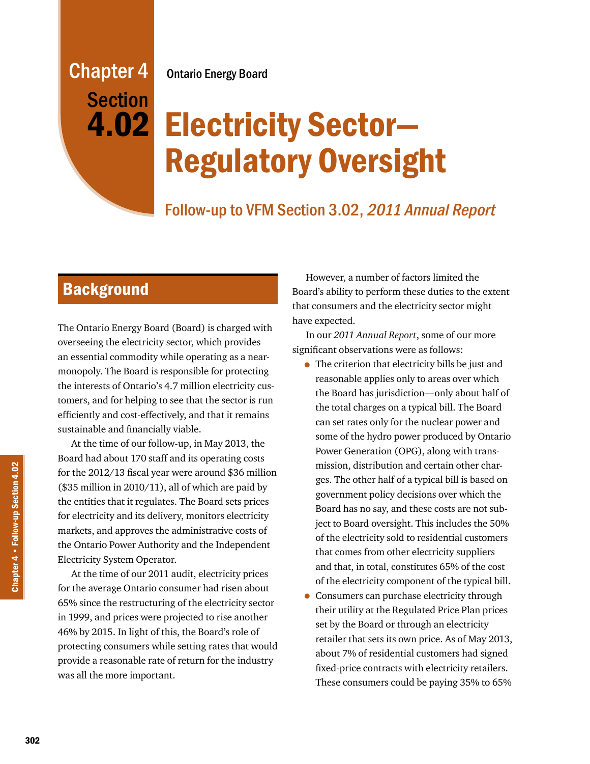# Chapter 4 Ontario Energy Board **Section**

# Electricity Sector— 4.02 Regulatory Oversight

# Follow-up to VFM Section 3.02, 2011 Annual Report

# **Background**

The Ontario Energy Board (Board) is charged with overseeing the electricity sector, which provides an essential commodity while operating as a nearmonopoly. The Board is responsible for protecting the interests of Ontario's 4.7 million electricity customers, and for helping to see that the sector is run efficiently and cost-effectively, and that it remains sustainable and financially viable.

At the time of our follow-up, in May 2013, the Board had about 170 staff and its operating costs for the 2012/13 fiscal year were around \$36 million (\$35 million in 2010/11), all of which are paid by the entities that it regulates. The Board sets prices for electricity and its delivery, monitors electricity markets, and approves the administrative costs of the Ontario Power Authority and the Independent Electricity System Operator.

At the time of our 2011 audit, electricity prices for the average Ontario consumer had risen about 65% since the restructuring of the electricity sector in 1999, and prices were projected to rise another 46% by 2015. In light of this, the Board's role of protecting consumers while setting rates that would provide a reasonable rate of return for the industry was all the more important.

However, a number of factors limited the Board's ability to perform these duties to the extent that consumers and the electricity sector might have expected.

In our *2011 Annual Report*, some of our more significant observations were as follows:

- The criterion that electricity bills be just and reasonable applies only to areas over which the Board has jurisdiction—only about half of the total charges on a typical bill. The Board can set rates only for the nuclear power and some of the hydro power produced by Ontario Power Generation (OPG), along with transmission, distribution and certain other charges. The other half of a typical bill is based on government policy decisions over which the Board has no say, and these costs are not subject to Board oversight. This includes the 50% of the electricity sold to residential customers that comes from other electricity suppliers and that, in total, constitutes 65% of the cost of the electricity component of the typical bill.
- Consumers can purchase electricity through their utility at the Regulated Price Plan prices set by the Board or through an electricity retailer that sets its own price. As of May 2013, about 7% of residential customers had signed fixed-price contracts with electricity retailers. These consumers could be paying 35% to 65%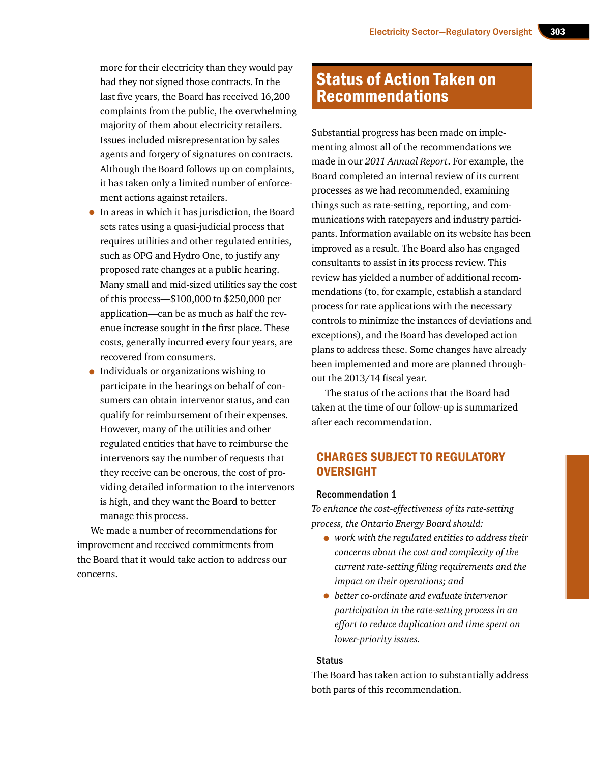more for their electricity than they would pay had they not signed those contracts. In the last five years, the Board has received 16,200 complaints from the public, the overwhelming majority of them about electricity retailers. Issues included misrepresentation by sales agents and forgery of signatures on contracts. Although the Board follows up on complaints, it has taken only a limited number of enforcement actions against retailers.

- In areas in which it has jurisdiction, the Board sets rates using a quasi-judicial process that requires utilities and other regulated entities, such as OPG and Hydro One, to justify any proposed rate changes at a public hearing. Many small and mid-sized utilities say the cost of this process—\$100,000 to \$250,000 per application—can be as much as half the revenue increase sought in the first place. These costs, generally incurred every four years, are recovered from consumers.
- Individuals or organizations wishing to participate in the hearings on behalf of consumers can obtain intervenor status, and can qualify for reimbursement of their expenses. However, many of the utilities and other regulated entities that have to reimburse the intervenors say the number of requests that they receive can be onerous, the cost of providing detailed information to the intervenors is high, and they want the Board to better manage this process.

We made a number of recommendations for improvement and received commitments from the Board that it would take action to address our concerns.

## Status of Action Taken on Recommendations

Substantial progress has been made on implementing almost all of the recommendations we made in our *2011 Annual Report*. For example, the Board completed an internal review of its current processes as we had recommended, examining things such as rate-setting, reporting, and communications with ratepayers and industry participants. Information available on its website has been improved as a result. The Board also has engaged consultants to assist in its process review. This review has yielded a number of additional recommendations (to, for example, establish a standard process for rate applications with the necessary controls to minimize the instances of deviations and exceptions), and the Board has developed action plans to address these. Some changes have already been implemented and more are planned throughout the 2013/14 fiscal year.

The status of the actions that the Board had taken at the time of our follow-up is summarized after each recommendation.

## CHARGES SUBJECT TO REGULATORY **OVERSIGHT**

#### Recommendation 1

*To enhance the cost-effectiveness of its rate-setting process, the Ontario Energy Board should:* 

- *work with the regulated entities to address their concerns about the cost and complexity of the current rate-setting filing requirements and the impact on their operations; and*
- *better co-ordinate and evaluate intervenor participation in the rate-setting process in an effort to reduce duplication and time spent on lower-priority issues.*

#### **Status**

The Board has taken action to substantially address both parts of this recommendation.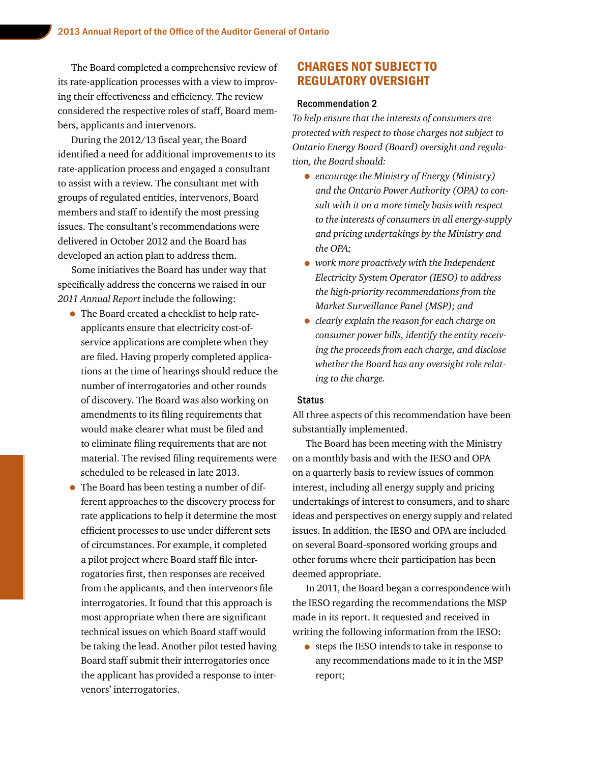The Board completed a comprehensive review of its rate-application processes with a view to improving their effectiveness and efficiency. The review considered the respective roles of staff, Board members, applicants and intervenors.

During the 2012/13 fiscal year, the Board identified a need for additional improvements to its rate-application process and engaged a consultant to assist with a review. The consultant met with groups of regulated entities, intervenors, Board members and staff to identify the most pressing issues. The consultant's recommendations were delivered in October 2012 and the Board has developed an action plan to address them.

Some initiatives the Board has under way that specifically address the concerns we raised in our *2011 Annual Report* include the following:

- The Board created a checklist to help rateapplicants ensure that electricity cost-ofservice applications are complete when they are filed. Having properly completed applications at the time of hearings should reduce the number of interrogatories and other rounds of discovery. The Board was also working on amendments to its filing requirements that would make clearer what must be filed and to eliminate filing requirements that are not material. The revised filing requirements were scheduled to be released in late 2013.
- The Board has been testing a number of different approaches to the discovery process for rate applications to help it determine the most efficient processes to use under different sets of circumstances. For example, it completed a pilot project where Board staff file interrogatories first, then responses are received from the applicants, and then intervenors file interrogatories. It found that this approach is most appropriate when there are significant technical issues on which Board staff would be taking the lead. Another pilot tested having Board staff submit their interrogatories once the applicant has provided a response to intervenors' interrogatories.

## CHARGES NOT SUBJECT TO REGULATORY OVERSIGHT

#### Recommendation 2

*To help ensure that the interests of consumers are protected with respect to those charges not subject to Ontario Energy Board (Board) oversight and regulation, the Board should:* 

- *encourage the Ministry of Energy (Ministry) and the Ontario Power Authority (OPA) to consult with it on a more timely basis with respect to the interests of consumers in all energy-supply and pricing undertakings by the Ministry and the OPA;*
- *work more proactively with the Independent Electricity System Operator (IESO) to address the high-priority recommendations from the Market Surveillance Panel (MSP); and*
- *clearly explain the reason for each charge on consumer power bills, identify the entity receiving the proceeds from each charge, and disclose whether the Board has any oversight role relating to the charge.*

#### **Status**

All three aspects of this recommendation have been substantially implemented.

The Board has been meeting with the Ministry on a monthly basis and with the IESO and OPA on a quarterly basis to review issues of common interest, including all energy supply and pricing undertakings of interest to consumers, and to share ideas and perspectives on energy supply and related issues. In addition, the IESO and OPA are included on several Board-sponsored working groups and other forums where their participation has been deemed appropriate.

In 2011, the Board began a correspondence with the IESO regarding the recommendations the MSP made in its report. It requested and received in writing the following information from the IESO:

• steps the IESO intends to take in response to any recommendations made to it in the MSP report;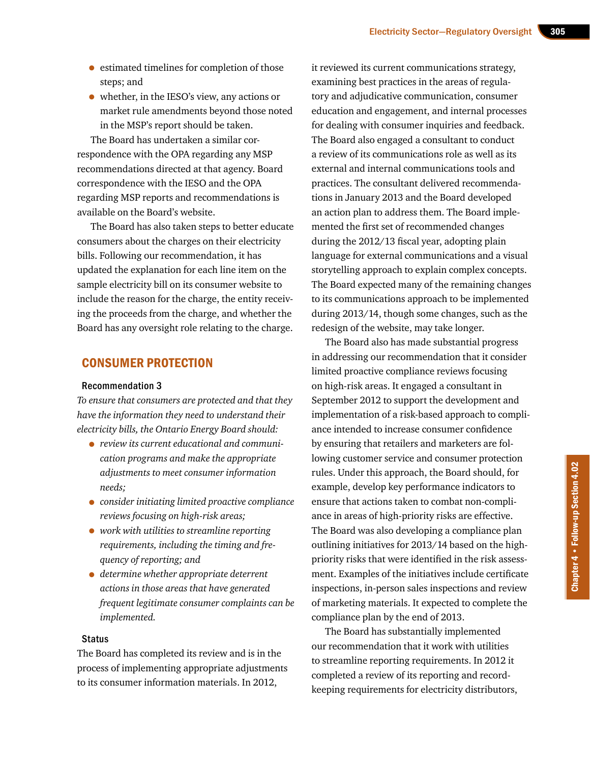- estimated timelines for completion of those steps; and
- whether, in the IESO's view, any actions or market rule amendments beyond those noted in the MSP's report should be taken.

The Board has undertaken a similar correspondence with the OPA regarding any MSP recommendations directed at that agency. Board correspondence with the IESO and the OPA regarding MSP reports and recommendations is available on the Board's website.

The Board has also taken steps to better educate consumers about the charges on their electricity bills. Following our recommendation, it has updated the explanation for each line item on the sample electricity bill on its consumer website to include the reason for the charge, the entity receiving the proceeds from the charge, and whether the Board has any oversight role relating to the charge.

## CONSUMER PROTECTION

#### Recommendation 3

*To ensure that consumers are protected and that they have the information they need to understand their electricity bills, the Ontario Energy Board should:* 

- *review its current educational and communication programs and make the appropriate adjustments to meet consumer information needs;*
- *consider initiating limited proactive compliance reviews focusing on high-risk areas;*
- *work with utilities to streamline reporting requirements, including the timing and frequency of reporting; and*
- *determine whether appropriate deterrent actions in those areas that have generated frequent legitimate consumer complaints can be implemented.*

#### **Status**

The Board has completed its review and is in the process of implementing appropriate adjustments to its consumer information materials. In 2012,

it reviewed its current communications strategy, examining best practices in the areas of regulatory and adjudicative communication, consumer education and engagement, and internal processes for dealing with consumer inquiries and feedback. The Board also engaged a consultant to conduct a review of its communications role as well as its external and internal communications tools and practices. The consultant delivered recommendations in January 2013 and the Board developed an action plan to address them. The Board implemented the first set of recommended changes during the 2012/13 fiscal year, adopting plain language for external communications and a visual storytelling approach to explain complex concepts. The Board expected many of the remaining changes to its communications approach to be implemented during 2013/14, though some changes, such as the redesign of the website, may take longer.

The Board also has made substantial progress in addressing our recommendation that it consider limited proactive compliance reviews focusing on high-risk areas. It engaged a consultant in September 2012 to support the development and implementation of a risk-based approach to compliance intended to increase consumer confidence by ensuring that retailers and marketers are following customer service and consumer protection rules. Under this approach, the Board should, for example, develop key performance indicators to ensure that actions taken to combat non-compliance in areas of high-priority risks are effective. The Board was also developing a compliance plan outlining initiatives for 2013/14 based on the highpriority risks that were identified in the risk assessment. Examples of the initiatives include certificate inspections, in-person sales inspections and review of marketing materials. It expected to complete the compliance plan by the end of 2013.

The Board has substantially implemented our recommendation that it work with utilities to streamline reporting requirements. In 2012 it completed a review of its reporting and recordkeeping requirements for electricity distributors,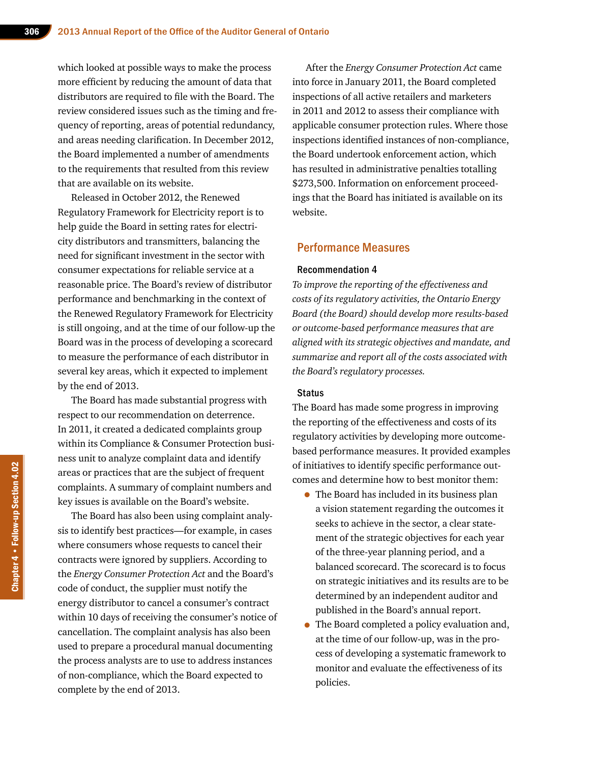which looked at possible ways to make the process more efficient by reducing the amount of data that distributors are required to file with the Board. The review considered issues such as the timing and frequency of reporting, areas of potential redundancy, and areas needing clarification. In December 2012, the Board implemented a number of amendments to the requirements that resulted from this review that are available on its website.

Released in October 2012, the Renewed Regulatory Framework for Electricity report is to help guide the Board in setting rates for electricity distributors and transmitters, balancing the need for significant investment in the sector with consumer expectations for reliable service at a reasonable price. The Board's review of distributor performance and benchmarking in the context of the Renewed Regulatory Framework for Electricity is still ongoing, and at the time of our follow-up the Board was in the process of developing a scorecard to measure the performance of each distributor in several key areas, which it expected to implement by the end of 2013.

The Board has made substantial progress with respect to our recommendation on deterrence. In 2011, it created a dedicated complaints group within its Compliance & Consumer Protection business unit to analyze complaint data and identify areas or practices that are the subject of frequent complaints. A summary of complaint numbers and key issues is available on the Board's website.

The Board has also been using complaint analysis to identify best practices—for example, in cases where consumers whose requests to cancel their contracts were ignored by suppliers. According to the *Energy Consumer Protection Act* and the Board's code of conduct, the supplier must notify the energy distributor to cancel a consumer's contract within 10 days of receiving the consumer's notice of cancellation. The complaint analysis has also been used to prepare a procedural manual documenting the process analysts are to use to address instances of non-compliance, which the Board expected to complete by the end of 2013.

After the *Energy Consumer Protection Act* came into force in January 2011, the Board completed inspections of all active retailers and marketers in 2011 and 2012 to assess their compliance with applicable consumer protection rules. Where those inspections identified instances of non-compliance, the Board undertook enforcement action, which has resulted in administrative penalties totalling \$273,500. Information on enforcement proceedings that the Board has initiated is available on its website.

### Performance Measures

#### Recommendation 4

*To improve the reporting of the effectiveness and costs of its regulatory activities, the Ontario Energy Board (the Board) should develop more results-based or outcome-based performance measures that are aligned with its strategic objectives and mandate, and summarize and report all of the costs associated with the Board's regulatory processes.* 

#### **Status**

The Board has made some progress in improving the reporting of the effectiveness and costs of its regulatory activities by developing more outcomebased performance measures. It provided examples of initiatives to identify specific performance outcomes and determine how to best monitor them:

- The Board has included in its business plan a vision statement regarding the outcomes it seeks to achieve in the sector, a clear statement of the strategic objectives for each year of the three-year planning period, and a balanced scorecard. The scorecard is to focus on strategic initiatives and its results are to be determined by an independent auditor and published in the Board's annual report.
- The Board completed a policy evaluation and, at the time of our follow-up, was in the process of developing a systematic framework to monitor and evaluate the effectiveness of its policies.